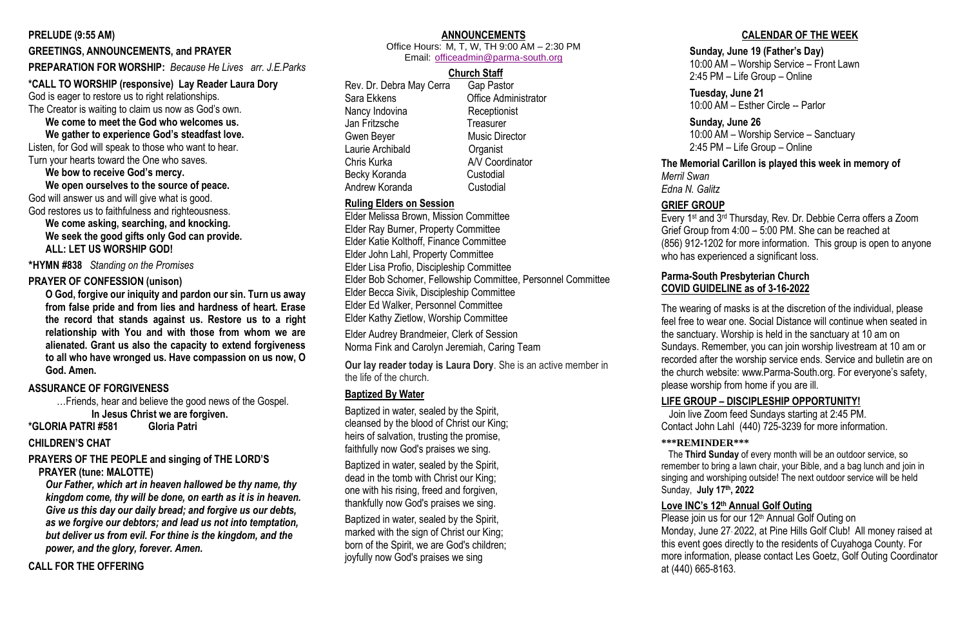#### **PRELUDE (9:55 AM)**

#### **GREETINGS, ANNOUNCEMENTS, and PRAYER**

#### **PREPARATION FOR WORSHIP:** *Because He Lives arr. J.E.Parks*

#### **\*CALL TO WORSHIP (responsive) Lay Reader Laura Dory**

God is eager to restore us to right relationships.

The Creator is waiting to claim us now as God's own.

**We come to meet the God who welcomes us. We gather to experience God's steadfast love.**

Listen, for God will speak to those who want to hear. Turn your hearts toward the One who saves.

#### **We bow to receive God's mercy.**

**We open ourselves to the source of peace.** God will answer us and will give what is good. God restores us to faithfulness and righteousness.

**We come asking, searching, and knocking. We seek the good gifts only God can provide. ALL: LET US WORSHIP GOD!**

**\*HYMN #838** *Standing on the Promises*

#### **PRAYER OF CONFESSION (unison)**

**O God, forgive our iniquity and pardon our sin. Turn us away from false pride and from lies and hardness of heart. Erase the record that stands against us. Restore us to a right relationship with You and with those from whom we are alienated. Grant us also the capacity to extend forgiveness to all who have wronged us. Have compassion on us now, O God. Amen.**

#### **ASSURANCE OF FORGIVENESS**

…Friends, hear and believe the good news of the Gospel. **In Jesus Christ we are forgiven.**

**\*GLORIA PATRI #581 Gloria Patri** 

#### **CHILDREN'S CHAT**

**PRAYERS OF THE PEOPLE and singing of THE LORD'S PRAYER (tune: MALOTTE)**

*Our Father, which art in heaven hallowed be thy name, thy kingdom come, thy will be done, on earth as it is in heaven. Give us this day our daily bread; and forgive us our debts, as we forgive our debtors; and lead us not into temptation, but deliver us from evil. For thine is the kingdom, and the power, and the glory, forever. Amen.* 

**CALL FOR THE OFFERING**

## **ANNOUNCEMENTS**

Office Hours: M, T, W, TH 9:00 AM – 2:30 PM Email: [officeadmin@parma-south.org](mailto:officeadmin@parma-south.org)

### **Church Staff**

Rev. Dr. Debra May Cerra Gap Pastor Sara Ekkens Office Administrator Nancy Indovina Receptionist Jan Fritzsche Treasurer Gwen Bever **Music Director** Laurie Archibald **Cancer** Organist Chris Kurka A/V Coordinator Becky Koranda Custodial Andrew Koranda Custodial

# **Ruling Elders on Session**

Elder Melissa Brown, Mission Committee Elder Ray Burner, Property Committee Elder Katie Kolthoff, Finance Committee Elder John Lahl, Property Committee Elder Lisa Profio, Discipleship Committee Elder Bob Schomer, Fellowship Committee, Personnel Committee Elder Becca Sivik, Discipleship Committee Elder Ed Walker, Personnel Committee Elder Kathy Zietlow, Worship Committee

> Please join us for our 12<sup>th</sup> Annual Golf Outing on Monday, June 27, 2022, at Pine Hills Golf Club! All money raised at this event goes directly to the residents of Cuyahoga County. For more information, please contact Les Goetz, Golf Outing Coordinator at (440) 665-8163.

Elder Audrey Brandmeier, Clerk of Session Norma Fink and Carolyn Jeremiah, Caring Team

**Our lay reader today is Laura Dory**. She is an active member in the life of the church.

#### **Baptized By Water**

Baptized in water, sealed by the Spirit, cleansed by the blood of Christ our King; heirs of salvation, trusting the promise, faithfully now God's praises we sing.

Baptized in water, sealed by the Spirit, dead in the tomb with Christ our King; one with his rising, freed and forgiven, thankfully now God's praises we sing.

Baptized in water, sealed by the Spirit, marked with the sign of Christ our King; born of the Spirit, we are God's children; joyfully now God's praises we sing

### **CALENDAR OF THE WEEK**

#### **Sunday, June 19 (Father's Day)**

10:00 AM – Worship Service – Front Lawn

2:45 PM – Life Group – Online

#### **Tuesday, June 21**

10:00 AM – Esther Circle -- Parlor

#### **Sunday, June 26**

10:00 AM – Worship Service – Sanctuary

2:45 PM – Life Group – Online

#### **The Memorial Carillon is played this week in memory of**

*Merril Swan Edna N. Galitz*

#### **GRIEF GROUP**

Every 1st and 3rd Thursday, Rev. Dr. Debbie Cerra offers a Zoom Grief Group from 4:00 – 5:00 PM. She can be reached at (856) 912-1202 for more information. This group is open to anyone who has experienced a significant loss.

### **Parma-South Presbyterian Church COVID GUIDELINE as of 3-16-2022**

The wearing of masks is at the discretion of the individual, please feel free to wear one. Social Distance will continue when seated in the sanctuary. Worship is held in the sanctuary at 10 am on Sundays. Remember, you can join worship livestream at 10 am or recorded after the worship service ends. Service and bulletin are on the church website: www.Parma-South.org. For everyone's safety, please worship from home if you are ill.

#### **LIFE GROUP – DISCIPLESHIP OPPORTUNITY!**

Join live Zoom feed Sundays starting at 2:45 PM.

Contact John Lahl (440) 725-3239 for more information.

#### **\*\*\*REMINDER\*\*\***

 The **Third Sunday** of every month will be an outdoor service, so remember to bring a lawn chair, your Bible, and a bag lunch and join in singing and worshiping outside! The next outdoor service will be held Sunday, **July 17th, 2022**

## **Love INC's 12th Annual Golf Outing**